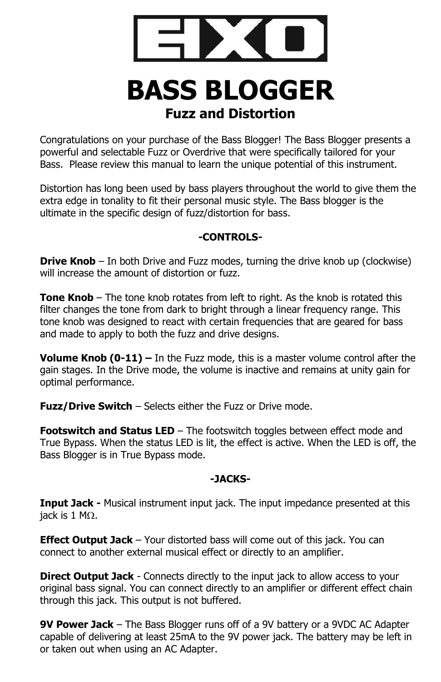

# **BASS BLOGGER Fuzz and Distortion**

Congratulations on your purchase of the Bass Blogger! The Bass Blogger presents a powerful and selectable Fuzz or Overdrive that were specifically tailored for your Bass. Please review this manual to learn the unique potential of this instrument.

Distortion has long been used by bass players throughout the world to give them the extra edge in tonality to fit their personal music style. The Bass blogger is the ultimate in the specific design of fuzz/distortion for bass.

## **-CONTROLS-**

**Drive Knob** – In both Drive and Fuzz modes, turning the drive knob up (clockwise) will increase the amount of distortion or fuzz.

**Tone Knob** – The tone knob rotates from left to right. As the knob is rotated this filter changes the tone from dark to bright through a linear frequency range. This tone knob was designed to react with certain frequencies that are geared for bass and made to apply to both the fuzz and drive designs.

**Volume Knob (0-11) –** In the Fuzz mode, this is a master volume control after the gain stages. In the Drive mode, the volume is inactive and remains at unity gain for optimal performance.

**Fuzz/Drive Switch** – Selects either the Fuzz or Drive mode.

**Footswitch and Status LED** – The footswitch toggles between effect mode and True Bypass. When the status LED is lit, the effect is active. When the LED is off, the Bass Blogger is in True Bypass mode.

## **-JACKS-**

**Input Jack -** Musical instrument input jack. The input impedance presented at this iack is 1 M $\Omega$ .

**Effect Output Jack** – Your distorted bass will come out of this jack. You can connect to another external musical effect or directly to an amplifier.

**Direct Output Jack** - Connects directly to the input jack to allow access to your original bass signal. You can connect directly to an amplifier or different effect chain through this jack. This output is not buffered.

**9V Power Jack** – The Bass Blogger runs off of a 9V battery or a 9VDC AC Adapter capable of delivering at least 25mA to the 9V power jack. The battery may be left in or taken out when using an AC Adapter.